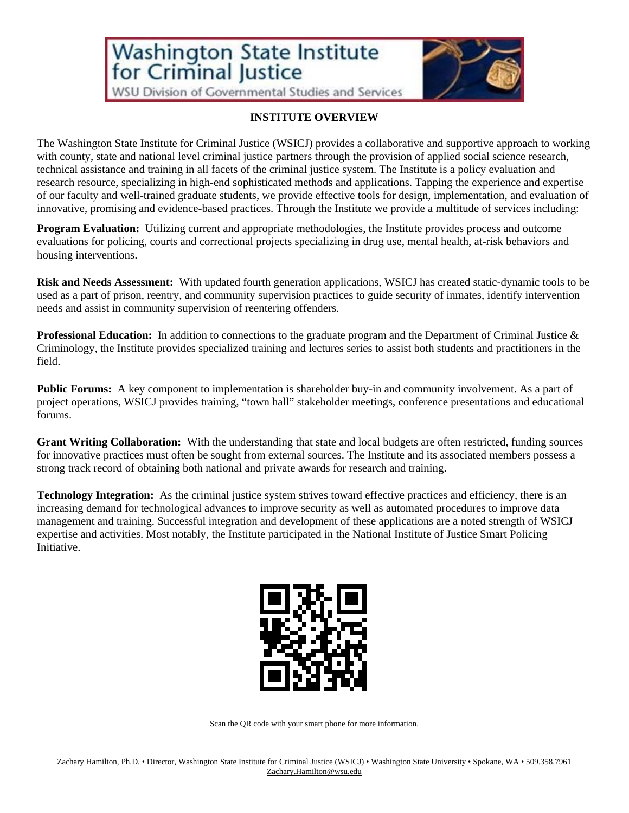## **Washington State Institute**<br>for Criminal Justice



**WSU Division of Governmental Studies and Services** 

## **INSTITUTE OVERVIEW**

The Washington State Institute for Criminal Justice (WSICJ) provides a collaborative and supportive approach to working with county, state and national level criminal justice partners through the provision of applied social science research, technical assistance and training in all facets of the criminal justice system. The Institute is a policy evaluation and research resource, specializing in high-end sophisticated methods and applications. Tapping the experience and expertise of our faculty and well-trained graduate students, we provide effective tools for design, implementation, and evaluation of innovative, promising and evidence-based practices. Through the Institute we provide a multitude of services including:

**Program Evaluation:** Utilizing current and appropriate methodologies, the Institute provides process and outcome evaluations for policing, courts and correctional projects specializing in drug use, mental health, at-risk behaviors and housing interventions.

**Risk and Needs Assessment:** With updated fourth generation applications, WSICJ has created static-dynamic tools to be used as a part of prison, reentry, and community supervision practices to guide security of inmates, identify intervention needs and assist in community supervision of reentering offenders.

**Professional Education:** In addition to connections to the graduate program and the Department of Criminal Justice & Criminology, the Institute provides specialized training and lectures series to assist both students and practitioners in the field.

**Public Forums:** A key component to implementation is shareholder buy-in and community involvement. As a part of project operations, WSICJ provides training, "town hall" stakeholder meetings, conference presentations and educational forums.

**Grant Writing Collaboration:** With the understanding that state and local budgets are often restricted, funding sources for innovative practices must often be sought from external sources. The Institute and its associated members possess a strong track record of obtaining both national and private awards for research and training.

**Technology Integration:** As the criminal justice system strives toward effective practices and efficiency, there is an increasing demand for technological advances to improve security as well as automated procedures to improve data management and training. Successful integration and development of these applications are a noted strength of WSICJ expertise and activities. Most notably, the Institute participated in the National Institute of Justice Smart Policing Initiative.



Scan the QR code with your smart phone for more information.